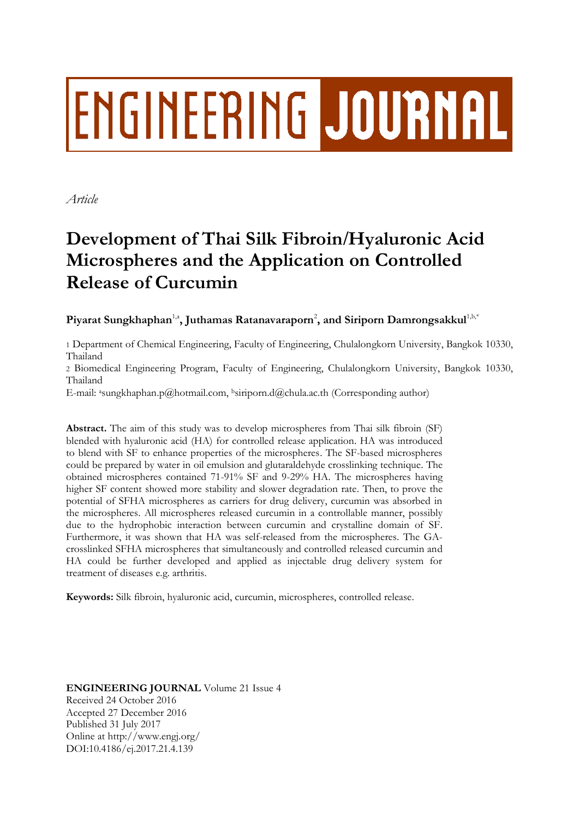# **ENGINEERING JOURNAL**

*Article*

# **Development of Thai Silk Fibroin/Hyaluronic Acid Microspheres and the Application on Controlled Release of Curcumin**

 ${\bf P}$ iyarat Sungkhaphan<sup>1,a</sup>, Juthamas Ratanavaraporn<sup>2</sup>, and Siriporn Damrongsakkul<sup>1,b,\*</sup>

1 Department of Chemical Engineering, Faculty of Engineering, Chulalongkorn University, Bangkok 10330, Thailand

2 Biomedical Engineering Program, Faculty of Engineering, Chulalongkorn University, Bangkok 10330, Thailand

E-mail: <sup>a</sup>sungkhaphan.p@hotmail.com, <sup>b</sup>siriporn.d@chula.ac.th (Corresponding author)

**Abstract.** The aim of this study was to develop microspheres from Thai silk fibroin (SF) blended with hyaluronic acid (HA) for controlled release application. HA was introduced to blend with SF to enhance properties of the microspheres. The SF-based microspheres could be prepared by water in oil emulsion and glutaraldehyde crosslinking technique. The obtained microspheres contained 71-91% SF and 9-29% HA. The microspheres having higher SF content showed more stability and slower degradation rate. Then, to prove the potential of SFHA microspheres as carriers for drug delivery, curcumin was absorbed in the microspheres. All microspheres released curcumin in a controllable manner, possibly due to the hydrophobic interaction between curcumin and crystalline domain of SF. Furthermore, it was shown that HA was self-released from the microspheres. The GAcrosslinked SFHA microspheres that simultaneously and controlled released curcumin and HA could be further developed and applied as injectable drug delivery system for treatment of diseases e.g. arthritis.

**Keywords:** Silk fibroin, hyaluronic acid, curcumin, microspheres, controlled release.

**ENGINEERING JOURNAL** Volume 21 Issue 4 Received 24 October 2016 Accepted 27 December 2016 Published 31 July 2017 Online at http://www.engj.org/ DOI:10.4186/ej.2017.21.4.139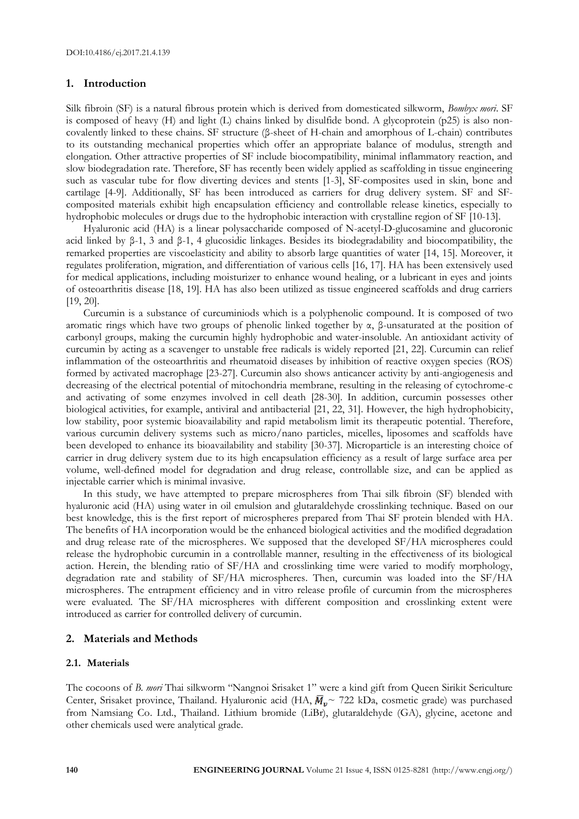# **1. Introduction**

Silk fibroin (SF) is a natural fibrous protein which is derived from domesticated silkworm, *Bombyx mori*. SF is composed of heavy (H) and light (L) chains linked by disulfide bond. A glycoprotein (p25) is also noncovalently linked to these chains. SF structure (β-sheet of H-chain and amorphous of L-chain) contributes to its outstanding mechanical properties which offer an appropriate balance of modulus, strength and elongation. Other attractive properties of SF include biocompatibility, minimal inflammatory reaction, and slow biodegradation rate. Therefore, SF has recently been widely applied as scaffolding in tissue engineering such as vascular tube for flow diverting devices and stents [1-3], SF-composites used in skin, bone and cartilage [4-9]. Additionally, SF has been introduced as carriers for drug delivery system. SF and SFcomposited materials exhibit high encapsulation efficiency and controllable release kinetics, especially to hydrophobic molecules or drugs due to the hydrophobic interaction with crystalline region of SF [10-13].

Hyaluronic acid (HA) is a linear polysaccharide composed of N-acetyl-D-glucosamine and glucoronic acid linked by β-1, 3 and β-1, 4 glucosidic linkages. Besides its biodegradability and biocompatibility, the remarked properties are viscoelasticity and ability to absorb large quantities of water [14, 15]. Moreover, it regulates proliferation, migration, and differentiation of various cells [16, 17]. HA has been extensively used for medical applications, including moisturizer to enhance wound healing, or a lubricant in eyes and joints of osteoarthritis disease [18, 19]. HA has also been utilized as tissue engineered scaffolds and drug carriers [19, 20].

Curcumin is a substance of curcuminiods which is a polyphenolic compound. It is composed of two aromatic rings which have two groups of phenolic linked together by  $\alpha$ , β-unsaturated at the position of carbonyl groups, making the curcumin highly hydrophobic and water-insoluble. An antioxidant activity of curcumin by acting as a scavenger to unstable free radicals is widely reported [21, 22]. Curcumin can relief inflammation of the osteoarthritis and rheumatoid diseases by inhibition of reactive oxygen species (ROS) formed by activated macrophage [23-27]. Curcumin also shows anticancer activity by anti-angiogenesis and decreasing of the electrical potential of mitochondria membrane, resulting in the releasing of cytochrome-c and activating of some enzymes involved in cell death [28-30]. In addition, curcumin possesses other biological activities, for example, antiviral and antibacterial [21, 22, 31]. However, the high hydrophobicity, low stability, poor systemic bioavailability and rapid metabolism limit its therapeutic potential. Therefore, various curcumin delivery systems such as micro/nano particles, micelles, liposomes and scaffolds have been developed to enhance its bioavailability and stability [30-37]. Microparticle is an interesting choice of carrier in drug delivery system due to its high encapsulation efficiency as a result of large surface area per volume, well-defined model for degradation and drug release, controllable size, and can be applied as injectable carrier which is minimal invasive.

In this study, we have attempted to prepare microspheres from Thai silk fibroin (SF) blended with hyaluronic acid (HA) using water in oil emulsion and glutaraldehyde crosslinking technique. Based on our best knowledge, this is the first report of microspheres prepared from Thai SF protein blended with HA. The benefits of HA incorporation would be the enhanced biological activities and the modified degradation and drug release rate of the microspheres. We supposed that the developed SF/HA microspheres could release the hydrophobic curcumin in a controllable manner, resulting in the effectiveness of its biological action. Herein, the blending ratio of SF/HA and crosslinking time were varied to modify morphology, degradation rate and stability of SF/HA microspheres. Then, curcumin was loaded into the SF/HA microspheres. The entrapment efficiency and in vitro release profile of curcumin from the microspheres were evaluated. The SF/HA microspheres with different composition and crosslinking extent were introduced as carrier for controlled delivery of curcumin.

#### **2. Materials and Methods**

#### **2.1. Materials**

The cocoons of *B. mori* Thai silkworm "Nangnoi Srisaket 1" were a kind gift from Queen Sirikit Sericulture Center, Srisaket province, Thailand. Hyaluronic acid (HA,  $\overline{M}_{v}$  ~ 722 kDa, cosmetic grade) was purchased from Namsiang Co. Ltd., Thailand. Lithium bromide (LiBr), glutaraldehyde (GA), glycine, acetone and other chemicals used were analytical grade.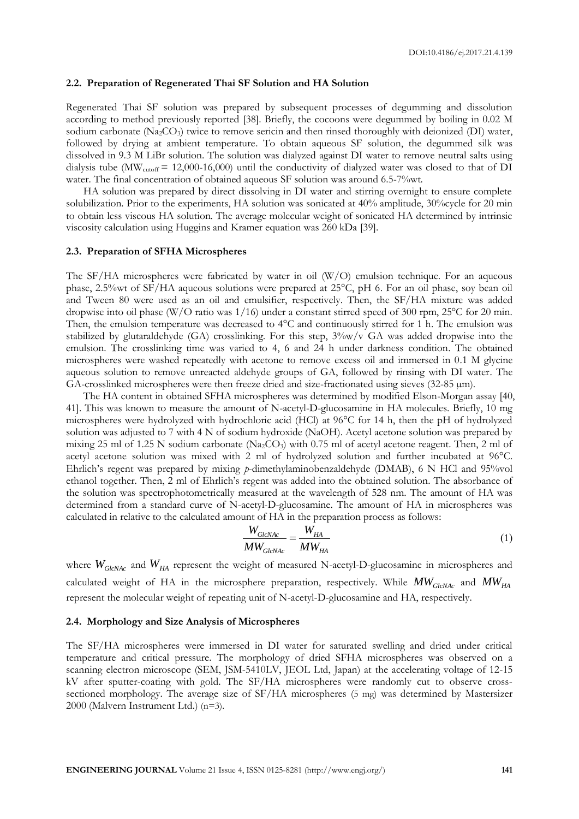#### **2.2. Preparation of Regenerated Thai SF Solution and HA Solution**

Regenerated Thai SF solution was prepared by subsequent processes of degumming and dissolution according to method previously reported [38]. Briefly, the cocoons were degummed by boiling in 0.02 M sodium carbonate (Na2CO3) twice to remove sericin and then rinsed thoroughly with deionized (DI) water, followed by drying at ambient temperature. To obtain aqueous SF solution, the degummed silk was dissolved in 9.3 M LiBr solution. The solution was dialyzed against DI water to remove neutral salts using dialysis tube ( $\text{MW}_{\text{cutoff}} = 12,000-16,000$ ) until the conductivity of dialyzed water was closed to that of DI water. The final concentration of obtained aqueous SF solution was around 6.5-7%wt.

HA solution was prepared by direct dissolving in DI water and stirring overnight to ensure complete solubilization. Prior to the experiments, HA solution was sonicated at 40% amplitude, 30%cycle for 20 min to obtain less viscous HA solution. The average molecular weight of sonicated HA determined by intrinsic viscosity calculation using Huggins and Kramer equation was 260 kDa [39].

#### **2.3. Preparation of SFHA Microspheres**

The SF/HA microspheres were fabricated by water in oil (W/O) emulsion technique. For an aqueous phase, 2.5%wt of SF/HA aqueous solutions were prepared at 25°C, pH 6. For an oil phase, soy bean oil and Tween 80 were used as an oil and emulsifier, respectively. Then, the SF/HA mixture was added dropwise into oil phase (W/O ratio was 1/16) under a constant stirred speed of 300 rpm, 25°C for 20 min. Then, the emulsion temperature was decreased to 4°C and continuously stirred for 1 h. The emulsion was stabilized by glutaraldehyde (GA) crosslinking. For this step,  $3\%$ w/v GA was added dropwise into the emulsion. The crosslinking time was varied to 4, 6 and 24 h under darkness condition. The obtained microspheres were washed repeatedly with acetone to remove excess oil and immersed in 0.1 M glycine aqueous solution to remove unreacted aldehyde groups of GA, followed by rinsing with DI water. The GA-crosslinked microspheres were then freeze dried and size-fractionated using sieves  $(32-85 \text{ }\mu\text{m})$ .

The HA content in obtained SFHA microspheres was determined by modified Elson-Morgan assay [40, 41]. This was known to measure the amount of N-acetyl-D-glucosamine in HA molecules. Briefly, 10 mg microspheres were hydrolyzed with hydrochloric acid (HCl) at 96°C for 14 h, then the pH of hydrolyzed solution was adjusted to 7 with 4 N of sodium hydroxide (NaOH). Acetyl acetone solution was prepared by mixing 25 ml of 1.25 N sodium carbonate  $(N_{22}CO_3)$  with 0.75 ml of acetyl acetone reagent. Then, 2 ml of acetyl acetone solution was mixed with 2 ml of hydrolyzed solution and further incubated at 96°C. Ehrlich's regent was prepared by mixing *p*-dimethylaminobenzaldehyde (DMAB), 6 N HCl and 95%vol ethanol together. Then, 2 ml of Ehrlich's regent was added into the obtained solution. The absorbance of the solution was spectrophotometrically measured at the wavelength of 528 nm. The amount of HA was determined from a standard curve of N-acetyl-D-glucosamine. The amount of HA in microspheres was calculated in relative to the calculated amount of HA in the preparation process as follows:

$$
\frac{W_{\text{GlcNAc}}}{MW_{\text{GlcNAc}}} = \frac{W_{\text{HA}}}{MW_{\text{HA}}}
$$
\n(1)

where  $W_{GlcNAc}$  and  $W_{HA}$  represent the weight of measured N-acetyl-D-glucosamine in microspheres and calculated weight of HA in the microsphere preparation, respectively. While *MWGlcNAc* and *MWHA* represent the molecular weight of repeating unit of N-acetyl-D-glucosamine and HA, respectively.

#### **2.4. Morphology and Size Analysis of Microspheres**

The SF/HA microspheres were immersed in DI water for saturated swelling and dried under critical temperature and critical pressure. The morphology of dried SFHA microspheres was observed on a scanning electron microscope (SEM, JSM-5410LV, JEOL Ltd, Japan) at the accelerating voltage of 12-15 kV after sputter-coating with gold. The SF/HA microspheres were randomly cut to observe crosssectioned morphology. The average size of SF/HA microspheres (5 mg) was determined by Mastersizer 2000 (Malvern Instrument Ltd.) (n=3).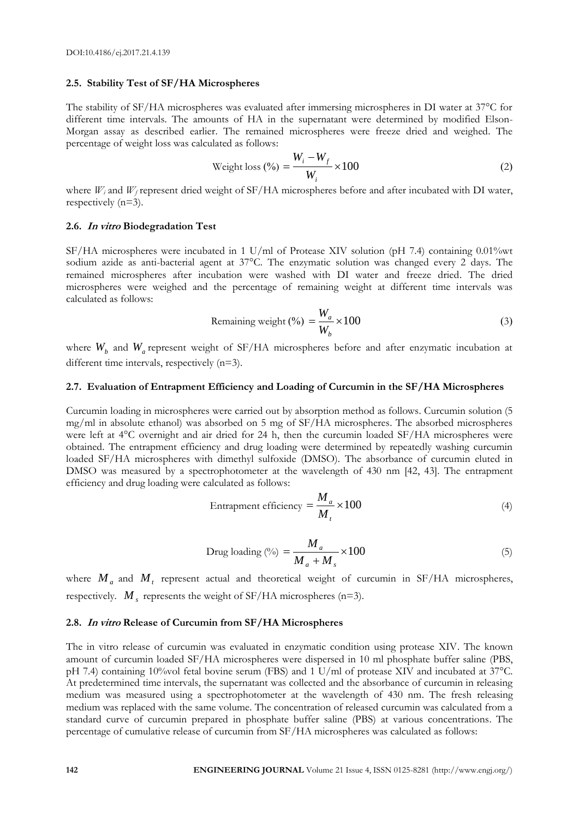#### **2.5. Stability Test of SF/HA Microspheres**

The stability of SF/HA microspheres was evaluated after immersing microspheres in DI water at 37°C for different time intervals. The amounts of HA in the supernatant were determined by modified Elson-Morgan assay as described earlier. The remained microspheres were freeze dried and weighed. The percentage of weight loss was calculated as follows:

Weight loss (
$$
\%
$$
) =  $\frac{W_i - W_f}{W_i} \times 100$  (2)

where  $W_i$  and  $W_f$  represent dried weight of SF/HA microspheres before and after incubated with DI water, respectively (n=3).

#### **2.6. In vitro Biodegradation Test**

SF/HA microspheres were incubated in 1 U/ml of Protease XIV solution (pH 7.4) containing 0.01%wt sodium azide as anti-bacterial agent at 37°C. The enzymatic solution was changed every 2 days. The remained microspheres after incubation were washed with DI water and freeze dried. The dried microspheres were weighed and the percentage of remaining weight at different time intervals was calculated as follows:

$$
Remaining weight (\%) = \frac{W_a}{W_b} \times 100
$$
 (3)

where  $W_b$  and  $W_a$  represent weight of SF/HA microspheres before and after enzymatic incubation at different time intervals, respectively  $(n=3)$ .

#### **2.7. Evaluation of Entrapment Efficiency and Loading of Curcumin in the SF/HA Microspheres**

Curcumin loading in microspheres were carried out by absorption method as follows. Curcumin solution (5 mg/ml in absolute ethanol) was absorbed on 5 mg of SF/HA microspheres. The absorbed microspheres were left at 4°C overnight and air dried for 24 h, then the curcumin loaded SF/HA microspheres were obtained. The entrapment efficiency and drug loading were determined by repeatedly washing curcumin loaded SF/HA microspheres with dimethyl sulfoxide (DMSO). The absorbance of curcumin eluted in DMSO was measured by a spectrophotometer at the wavelength of 430 nm [42, 43]. The entrapment efficiency and drug loading were calculated as follows:

$$
Entrapment efficiency = \frac{M_a}{M_t} \times 100
$$
\n(4)

$$
\text{ Drug loading } (\%) = \frac{M_a}{M_a + M_s} \times 100 \tag{5}
$$

where  $M_a$  and  $M_t$  represent actual and theoretical weight of curcumin in SF/HA microspheres, respectively.  $M_s$  represents the weight of SF/HA microspheres (n=3).

#### **2.8. In vitro Release of Curcumin from SF/HA Microspheres**

The in vitro release of curcumin was evaluated in enzymatic condition using protease XIV. The known amount of curcumin loaded SF/HA microspheres were dispersed in 10 ml phosphate buffer saline (PBS, pH 7.4) containing 10%vol fetal bovine serum (FBS) and 1 U/ml of protease XIV and incubated at 37°C. At predetermined time intervals, the supernatant was collected and the absorbance of curcumin in releasing medium was measured using a spectrophotometer at the wavelength of 430 nm. The fresh releasing medium was replaced with the same volume. The concentration of released curcumin was calculated from a standard curve of curcumin prepared in phosphate buffer saline (PBS) at various concentrations. The percentage of cumulative release of curcumin from SF/HA microspheres was calculated as follows: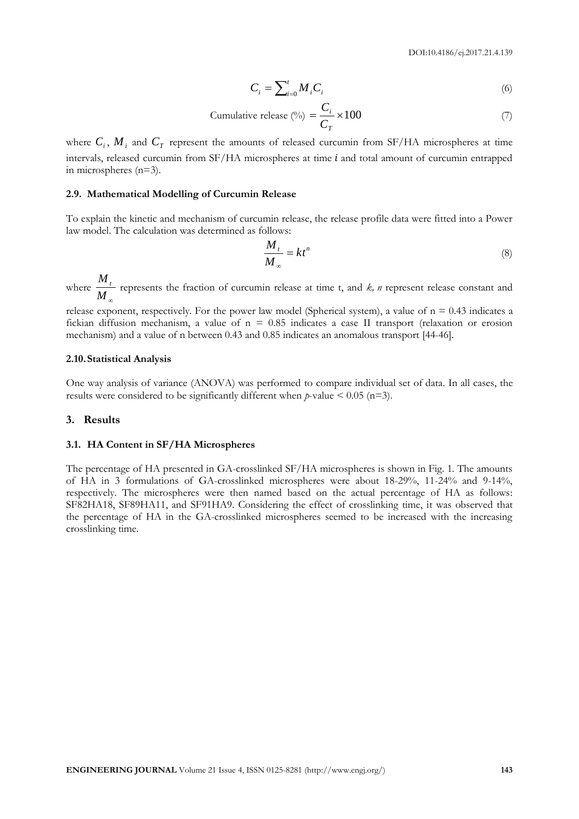$$
C_i = \sum_{i=0}^{t} M_i C_i \tag{6}
$$

Cumulative release (%) = 
$$
\frac{C_i}{C_T} \times 100
$$
 (7)

where  $C_i$ ,  $M_i$  and  $C_T$  represent the amounts of released curcumin from SF/HA microspheres at time intervals, released curcumin from  $SF/HA$  microspheres at time  $i$  and total amount of curcumin entrapped in microspheres (n=3).

#### **2.9. Mathematical Modelling of Curcumin Release**

To explain the kinetic and mechanism of curcumin release, the release profile data were fitted into a Power law model. The calculation was determined as follows:

$$
\frac{M_t}{M_\infty} = kt^n \tag{8}
$$

where  $M_{\infty}$  $\frac{M_t}{M}$  represents the fraction of curcumin release at time t, and *k, n* represent release constant and

release exponent, respectively. For the power law model (Spherical system), a value of  $n = 0.43$  indicates a fickian diffusion mechanism, a value of  $n = 0.85$  indicates a case II transport (relaxation or erosion mechanism) and a value of n between 0.43 and 0.85 indicates an anomalous transport [44-46].

#### **2.10.Statistical Analysis**

One way analysis of variance (ANOVA) was performed to compare individual set of data. In all cases, the results were considered to be significantly different when  $p$ -value  $\leq 0.05$  (n=3).

#### **3. Results**

#### **3.1. HA Content in SF/HA Microspheres**

The percentage of HA presented in GA-crosslinked SF/HA microspheres is shown in Fig. 1. The amounts of HA in 3 formulations of GA-crosslinked microspheres were about 18-29%, 11-24% and 9-14%, respectively. The microspheres were then named based on the actual percentage of HA as follows: SF82HA18, SF89HA11, and SF91HA9. Considering the effect of crosslinking time, it was observed that the percentage of HA in the GA-crosslinked microspheres seemed to be increased with the increasing crosslinking time.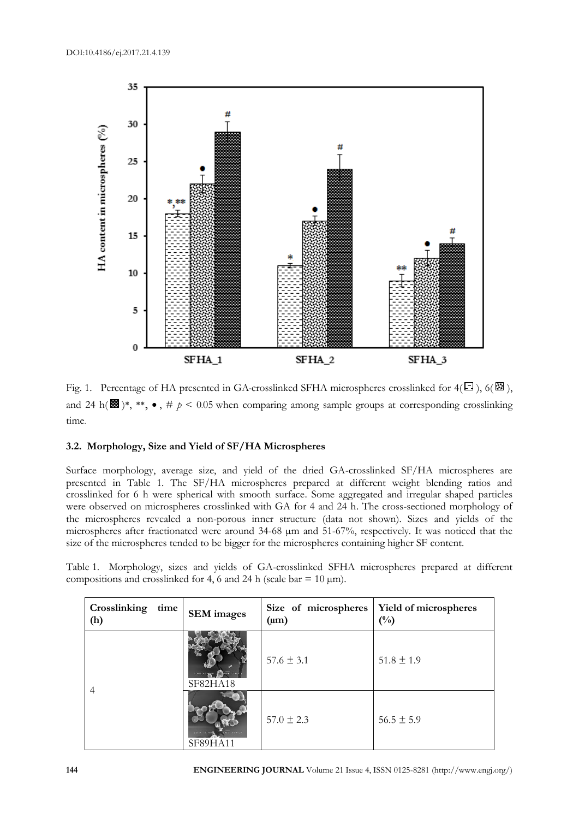

Fig. 1. Percentage of HA presented in GA-crosslinked SFHA microspheres crosslinked for  $4(\Xi)$ , 6( $\Xi$ ), and 24 h( $\mathbf{B}$ )\*, \*\*,  $\bullet$ , #  $p < 0.05$  when comparing among sample groups at corresponding crosslinking time.

# **3.2. Morphology, Size and Yield of SF/HA Microspheres**

Surface morphology, average size, and yield of the dried GA-crosslinked SF/HA microspheres are presented in Table 1. The SF/HA microspheres prepared at different weight blending ratios and crosslinked for 6 h were spherical with smooth surface. Some aggregated and irregular shaped particles were observed on microspheres crosslinked with GA for 4 and 24 h. The cross-sectioned morphology of the microspheres revealed a non-porous inner structure (data not shown). Sizes and yields of the microspheres after fractionated were around 34-68 µm and 51-67%, respectively. It was noticed that the size of the microspheres tended to be bigger for the microspheres containing higher SF content.

Table 1. Morphology, sizes and yields of GA-crosslinked SFHA microspheres prepared at different compositions and crosslinked for 4, 6 and 24 h (scale bar =  $10 \mu m$ ).

| Crosslinking<br>time<br>(h) | <b>SEM</b> images                            | Size of microspheres<br>$(\mu m)$ | Yield of microspheres<br>$(^{0}_{0})$ |
|-----------------------------|----------------------------------------------|-----------------------------------|---------------------------------------|
| 4                           | <b>ISKU XI-ADD AN ONE TODATS</b><br>SF82HA18 | $57.6 \pm 3.1$                    | $51.8 \pm 1.9$                        |
|                             | SF89HA11                                     | $57.0 \pm 2.3$                    | $56.5 \pm 5.9$                        |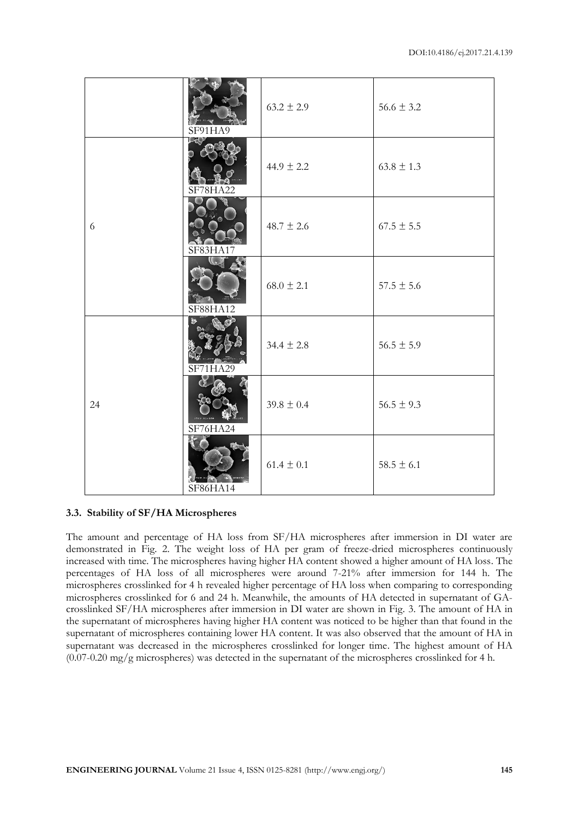|    | SF91HA9                                   | $63.2 \pm 2.9$ | $56.6 \pm 3.2$ |
|----|-------------------------------------------|----------------|----------------|
| 6  | SF78HA22                                  | $44.9 \pm 2.2$ | $63.8 \pm 1.3$ |
|    | SF83HA17                                  | $48.7 \pm 2.6$ | $67.5 \pm 5.5$ |
|    | $\mathbb{C} \cdot \mathbb{Z}$<br>SF88HA12 | $68.0 \pm 2.1$ | $57.5 \pm 5.6$ |
| 24 | SF71HA29                                  | $34.4 \pm 2.8$ | $56.5 \pm 5.9$ |
|    | <b>INKU XI.000</b><br>SF76HA24            | $39.8 \pm 0.4$ | $56.5 \pm 9.3$ |
|    | SF86HA14                                  | $61.4 \pm 0.1$ | $58.5 \pm 6.1$ |

# **3.3. Stability of SF/HA Microspheres**

The amount and percentage of HA loss from SF/HA microspheres after immersion in DI water are demonstrated in Fig. 2. The weight loss of HA per gram of freeze-dried microspheres continuously increased with time. The microspheres having higher HA content showed a higher amount of HA loss. The percentages of HA loss of all microspheres were around 7-21% after immersion for 144 h. The microspheres crosslinked for 4 h revealed higher percentage of HA loss when comparing to corresponding microspheres crosslinked for 6 and 24 h. Meanwhile, the amounts of HA detected in supernatant of GAcrosslinked SF/HA microspheres after immersion in DI water are shown in Fig. 3. The amount of HA in the supernatant of microspheres having higher HA content was noticed to be higher than that found in the supernatant of microspheres containing lower HA content. It was also observed that the amount of HA in supernatant was decreased in the microspheres crosslinked for longer time. The highest amount of HA  $(0.07-0.20 \text{ mg/g}$  microspheres) was detected in the supernatant of the microspheres crosslinked for 4 h.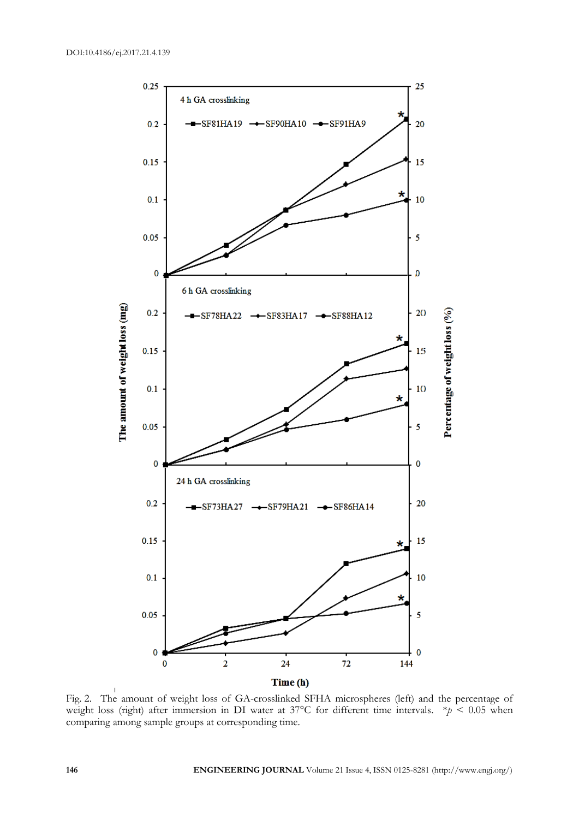

Fig. 2. The amount of weight loss of GA-crosslinked SFHA microspheres (left) and the percentage of weight loss (right) after immersion in DI water at 37°C for different time intervals. \**p* < 0.05 when comparing among sample groups at corresponding time.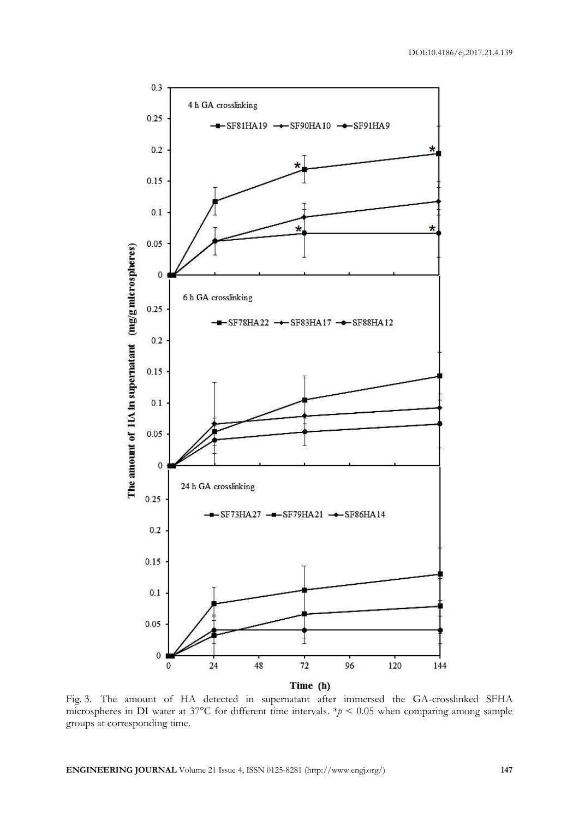

Fig. 3. The amount of HA detected in supernatant after immersed the GA-crosslinked SFHA microspheres in DI water at 37°C for different time intervals.  $*\!p$  < 0.05 when comparing among sample groups at corresponding time.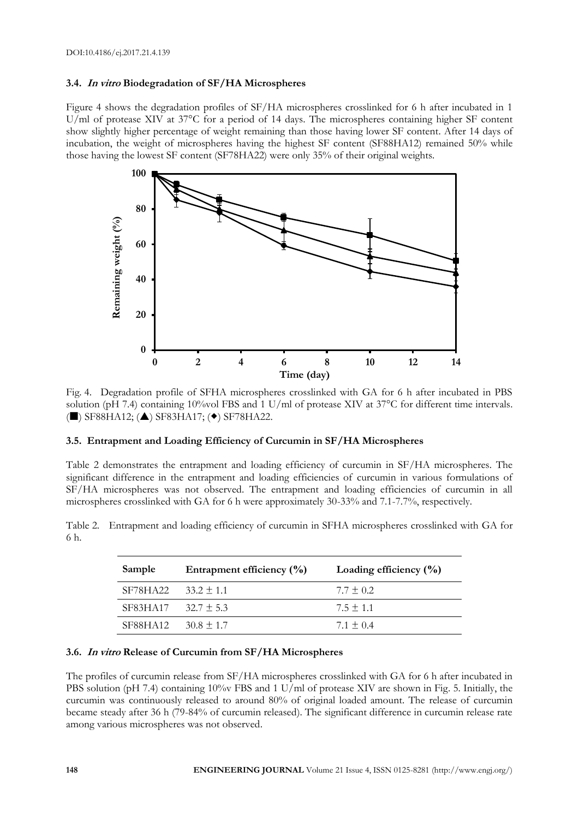# **3.4. In vitro Biodegradation of SF/HA Microspheres**

Figure 4 shows the degradation profiles of SF/HA microspheres crosslinked for 6 h after incubated in 1 U/ml of protease XIV at 37<sup>o</sup>C for a period of 14 days. The microspheres containing higher SF content show slightly higher percentage of weight remaining than those having lower SF content. After 14 days of incubation, the weight of microspheres having the highest SF content (SF88HA12) remained 50% while those having the lowest SF content (SF78HA22) were only 35% of their original weights.



Fig. 4. Degradation profile of SFHA microspheres crosslinked with GA for 6 h after incubated in PBS solution (pH 7.4) containing 10%vol FBS and 1 U/ml of protease XIV at 37°C for different time intervals.  $(\blacksquare)$  SF88HA12;  $(\blacktriangle)$  SF83HA17;  $(\blacktriangleright)$  SF78HA22.

# **3.5. Entrapment and Loading Efficiency of Curcumin in SF/HA Microspheres**

Table 2 demonstrates the entrapment and loading efficiency of curcumin in SF/HA microspheres. The significant difference in the entrapment and loading efficiencies of curcumin in various formulations of SF/HA microspheres was not observed. The entrapment and loading efficiencies of curcumin in all microspheres crosslinked with GA for 6 h were approximately 30-33% and 7.1-7.7%, respectively.

Table 2. Entrapment and loading efficiency of curcumin in SFHA microspheres crosslinked with GA for 6 h.

| Sample   | Entrapment efficiency $(\% )$ | Loading efficiency $(\% )$ |
|----------|-------------------------------|----------------------------|
| SF78HA22 | $33.2 \pm 1.1$                | $7.7 + 0.2$                |
| SF83HA17 | $32.7 \pm 5.3$                | $7.5 + 1.1$                |
| SF88HA12 | $30.8 \pm 1.7$                | $7.1 + 0.4$                |

# **3.6. In vitro Release of Curcumin from SF/HA Microspheres**

The profiles of curcumin release from SF/HA microspheres crosslinked with GA for 6 h after incubated in PBS solution (pH 7.4) containing 10% FBS and 1 U/ml of protease XIV are shown in Fig. 5. Initially, the curcumin was continuously released to around 80% of original loaded amount. The release of curcumin became steady after 36 h (79-84% of curcumin released). The significant difference in curcumin release rate among various microspheres was not observed.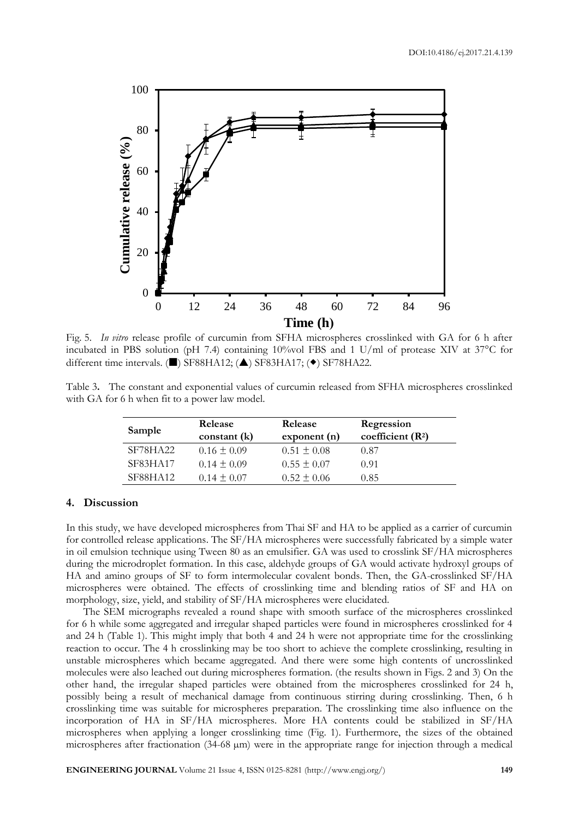

Fig. 5. *In vitro* release profile of curcumin from SFHA microspheres crosslinked with GA for 6 h after incubated in PBS solution (pH 7.4) containing 10%vol FBS and 1 U/ml of protease XIV at 37°C for different time intervals. ( $\blacksquare$ ) SF88HA12; ( $\blacktriangle$ ) SF83HA17; ( $\blacklozenge$ ) SF78HA22.

Table 3**.** The constant and exponential values of curcumin released from SFHA microspheres crosslinked with GA for 6 h when fit to a power law model.

| Sample          | Release         | Release         | Regression         |
|-----------------|-----------------|-----------------|--------------------|
|                 | constant(k)     | exponent(n)     | coefficient $(R2)$ |
| SF78HA22        | $0.16 \pm 0.09$ | $0.51 \pm 0.08$ | 0.87               |
| <b>SF83HA17</b> | $0.14 \pm 0.09$ | $0.55 \pm 0.07$ | 0.91               |
| SF88HA12        | $0.14 \pm 0.07$ | $0.52 \pm 0.06$ | 0.85               |

#### **4. Discussion**

In this study, we have developed microspheres from Thai SF and HA to be applied as a carrier of curcumin for controlled release applications. The SF/HA microspheres were successfully fabricated by a simple water in oil emulsion technique using Tween 80 as an emulsifier. GA was used to crosslink SF/HA microspheres during the microdroplet formation. In this case, aldehyde groups of GA would activate hydroxyl groups of HA and amino groups of SF to form intermolecular covalent bonds. Then, the GA-crosslinked SF/HA microspheres were obtained. The effects of crosslinking time and blending ratios of SF and HA on morphology, size, yield, and stability of SF/HA microspheres were elucidated.

The SEM micrographs revealed a round shape with smooth surface of the microspheres crosslinked for 6 h while some aggregated and irregular shaped particles were found in microspheres crosslinked for 4 and 24 h (Table 1). This might imply that both 4 and 24 h were not appropriate time for the crosslinking reaction to occur. The 4 h crosslinking may be too short to achieve the complete crosslinking, resulting in unstable microspheres which became aggregated. And there were some high contents of uncrosslinked molecules were also leached out during microspheres formation. (the results shown in Figs. 2 and 3) On the other hand, the irregular shaped particles were obtained from the microspheres crosslinked for 24 h, possibly being a result of mechanical damage from continuous stirring during crosslinking. Then, 6 h crosslinking time was suitable for microspheres preparation. The crosslinking time also influence on the incorporation of HA in SF/HA microspheres. More HA contents could be stabilized in SF/HA microspheres when applying a longer crosslinking time (Fig. 1). Furthermore, the sizes of the obtained microspheres after fractionation (34-68 µm) were in the appropriate range for injection through a medical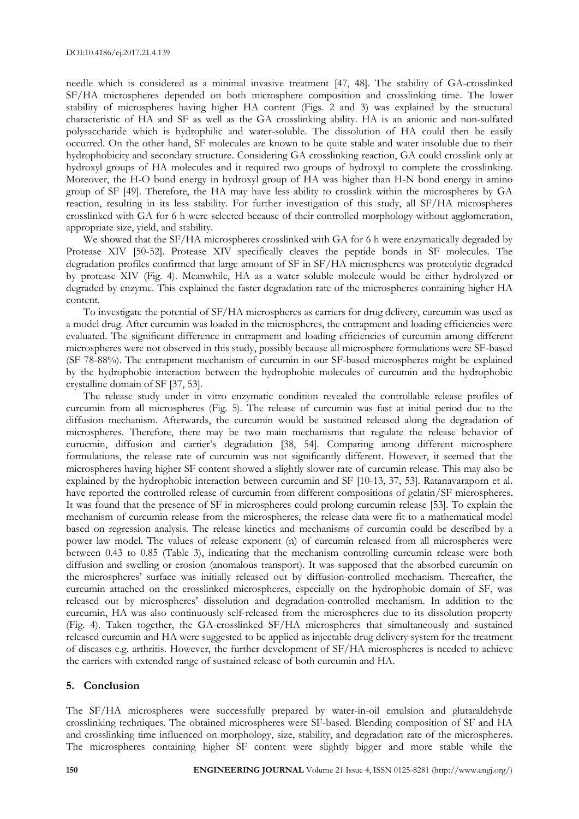needle which is considered as a minimal invasive treatment [47, 48]. The stability of GA-crosslinked SF/HA microspheres depended on both microsphere composition and crosslinking time. The lower stability of microspheres having higher HA content (Figs. 2 and 3) was explained by the structural characteristic of HA and SF as well as the GA crosslinking ability. HA is an anionic and non-sulfated polysaccharide which is hydrophilic and water-soluble. The dissolution of HA could then be easily occurred. On the other hand, SF molecules are known to be quite stable and water insoluble due to their hydrophobicity and secondary structure. Considering GA crosslinking reaction, GA could crosslink only at hydroxyl groups of HA molecules and it required two groups of hydroxyl to complete the crosslinking. Moreover, the H-O bond energy in hydroxyl group of HA was higher than H-N bond energy in amino group of SF [49]. Therefore, the HA may have less ability to crosslink within the microspheres by GA reaction, resulting in its less stability. For further investigation of this study, all SF/HA microspheres crosslinked with GA for 6 h were selected because of their controlled morphology without agglomeration, appropriate size, yield, and stability.

We showed that the SF/HA microspheres crosslinked with GA for 6 h were enzymatically degraded by Protease XIV [50-52]. Protease XIV specifically cleaves the peptide bonds in SF molecules. The degradation profiles confirmed that large amount of SF in SF/HA microspheres was proteolytic degraded by protease XIV (Fig. 4). Meanwhile, HA as a water soluble molecule would be either hydrolyzed or degraded by enzyme. This explained the faster degradation rate of the microspheres containing higher HA content.

To investigate the potential of SF/HA microspheres as carriers for drug delivery, curcumin was used as a model drug. After curcumin was loaded in the microspheres, the entrapment and loading efficiencies were evaluated. The significant difference in entrapment and loading efficiencies of curcumin among different microspheres were not observed in this study, possibly because all microsphere formulations were SF-based (SF 78-88%). The entrapment mechanism of curcumin in our SF-based microspheres might be explained by the hydrophobic interaction between the hydrophobic molecules of curcumin and the hydrophobic crystalline domain of SF [37, 53].

The release study under in vitro enzymatic condition revealed the controllable release profiles of curcumin from all microspheres (Fig. 5). The release of curcumin was fast at initial period due to the diffusion mechanism. Afterwards, the curcumin would be sustained released along the degradation of microspheres. Therefore, there may be two main mechanisms that regulate the release behavior of curucmin, diffusion and carrier's degradation [38, 54]. Comparing among different microsphere formulations, the release rate of curcumin was not significantly different. However, it seemed that the microspheres having higher SF content showed a slightly slower rate of curcumin release. This may also be explained by the hydrophobic interaction between curcumin and SF [10-13, 37, 53]. Ratanavaraporn et al. have reported the controlled release of curcumin from different compositions of gelatin/SF microspheres. It was found that the presence of SF in microspheres could prolong curcumin release [53]. To explain the mechanism of curcumin release from the microspheres, the release data were fit to a mathematical model based on regression analysis. The release kinetics and mechanisms of curcumin could be described by a power law model. The values of release exponent (n) of curcumin released from all microspheres were between 0.43 to 0.85 (Table 3), indicating that the mechanism controlling curcumin release were both diffusion and swelling or erosion (anomalous transport). It was supposed that the absorbed curcumin on the microspheres' surface was initially released out by diffusion-controlled mechanism. Thereafter, the curcumin attached on the crosslinked microspheres, especially on the hydrophobic domain of SF, was released out by microspheres' dissolution and degradation-controlled mechanism. In addition to the curcumin, HA was also continuously self-released from the microspheres due to its dissolution property (Fig. 4). Taken together, the GA-crosslinked SF/HA microspheres that simultaneously and sustained released curcumin and HA were suggested to be applied as injectable drug delivery system for the treatment of diseases e.g. arthritis. However, the further development of SF/HA microspheres is needed to achieve the carriers with extended range of sustained release of both curcumin and HA.

# **5. Conclusion**

The SF/HA microspheres were successfully prepared by water-in-oil emulsion and glutaraldehyde crosslinking techniques. The obtained microspheres were SF-based. Blending composition of SF and HA and crosslinking time influenced on morphology, size, stability, and degradation rate of the microspheres. The microspheres containing higher SF content were slightly bigger and more stable while the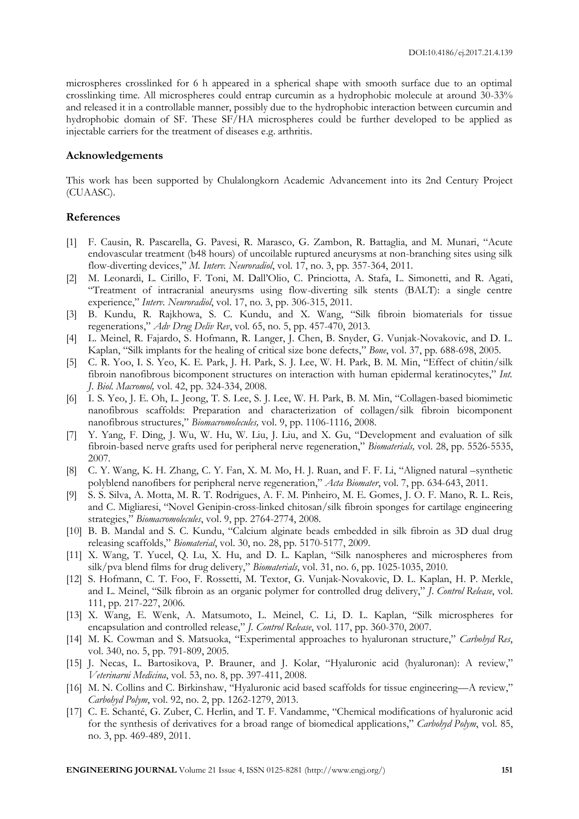microspheres crosslinked for 6 h appeared in a spherical shape with smooth surface due to an optimal crosslinking time. All microspheres could entrap curcumin as a hydrophobic molecule at around 30-33% and released it in a controllable manner, possibly due to the hydrophobic interaction between curcumin and hydrophobic domain of SF. These SF/HA microspheres could be further developed to be applied as injectable carriers for the treatment of diseases e.g. arthritis.

# **Acknowledgements**

This work has been supported by Chulalongkorn Academic Advancement into its 2nd Century Project (CUAASC).

# **References**

- [1] F. Causin, R. Pascarella, G. Pavesi, R. Marasco, G. Zambon, R. Battaglia, and M. Munari, "Acute endovascular treatment (b48 hours) of uncoilable ruptured aneurysms at non-branching sites using silk flow-diverting devices," *M. Interv. Neuroradiol*, vol. 17, no. 3, pp. 357-364, 2011.
- [2] M. Leonardi, L. Cirillo, F. Toni, M. Dall'Olio, C. Princiotta, A. Stafa, L. Simonetti, and R. Agati, "Treatment of intracranial aneurysms using flow-diverting silk stents (BALT): a single centre experience," *Interv. Neuroradiol*, vol. 17, no. 3, pp. 306-315, 2011.
- [3] B. Kundu, R. Rajkhowa, S. C. Kundu, and X. Wang, "Silk fibroin biomaterials for tissue regenerations," *Adv Drug Deliv Rev*, vol. 65, no. 5, pp. 457-470, 2013.
- [4] L. Meinel, R. Fajardo, S. Hofmann, R. Langer, J. Chen, B. Snyder, G. Vunjak-Novakovic, and D. L. Kaplan, "Silk implants for the healing of critical size bone defects," *Bone*, vol. 37, pp. 688-698, 2005.
- [5] C. R. Yoo, I. S. Yeo, K. E. Park, J. H. Park, S. J. Lee, W. H. Park, B. M. Min, "Effect of chitin/silk fibroin nanofibrous bicomponent structures on interaction with human epidermal keratinocytes," *Int. J. Biol. Macromol,* vol. 42, pp. 324-334, 2008.
- [6] I. S. Yeo, J. E. Oh, L. Jeong, T. S. Lee, S. J. Lee, W. H. Park, B. M. Min, "Collagen-based biomimetic nanofibrous scaffolds: Preparation and characterization of collagen/silk fibroin bicomponent nanofibrous structures," *Biomacromolecules,* vol. 9, pp. 1106-1116, 2008.
- [7] Y. Yang, F. Ding, J. Wu, W. Hu, W. Liu, J. Liu, and X. Gu, "Development and evaluation of silk fibroin-based nerve grafts used for peripheral nerve regeneration," *Biomaterials,* vol. 28, pp. 5526-5535, 2007.
- [8] C. Y. Wang, K. H. Zhang, C. Y. Fan, X. M. Mo, H. J. Ruan, and F. F. Li, "Aligned natural –synthetic polyblend nanofibers for peripheral nerve regeneration," *Acta Biomater*, vol. 7, pp. 634-643, 2011.
- [9] S. S. Silva, A. Motta, M. R. T. Rodrigues, A. F. M. Pinheiro, M. E. Gomes, J. O. F. Mano, R. L. Reis, and C. Migliaresi, "Novel Genipin-cross-linked chitosan/silk fibroin sponges for cartilage engineering strategies," *Biomacromolecules*, vol. 9, pp. 2764-2774, 2008.
- [10] B. B. Mandal and S. C. Kundu, "Calcium alginate beads embedded in silk fibroin as 3D dual drug releasing scaffolds," *Biomaterial*, vol. 30, no. 28, pp. 5170-5177, 2009.
- [11] X. Wang, T. Yucel, Q. Lu, X. Hu, and D. L. Kaplan, "Silk nanospheres and microspheres from silk/pva blend films for drug delivery," *Biomaterials*, vol. 31, no. 6, pp. 1025-1035, 2010.
- [12] S. Hofmann, C. T. Foo, F. Rossetti, M. Textor, G. Vunjak-Novakovic, D. L. Kaplan, H. P. Merkle, and L. Meinel, "Silk fibroin as an organic polymer for controlled drug delivery," *J. Control Release*, vol. 111, pp. 217-227, 2006.
- [13] X. Wang, E. Wenk, A. Matsumoto, L. Meinel, C. Li, D. L. Kaplan, "Silk microspheres for encapsulation and controlled release," *J. Control Release*, vol. 117, pp. 360-370, 2007.
- [14] M. K. Cowman and S. Matsuoka, "Experimental approaches to hyaluronan structure," *Carbohyd Res*, vol. 340, no. 5, pp. 791-809, 2005.
- [15] J. Necas, L. Bartosikova, P. Brauner, and J. Kolar, "Hyaluronic acid (hyaluronan): A review," *Veterinarni Medicina*, vol. 53, no. 8, pp. 397-411, 2008.
- [16] M. N. Collins and C. Birkinshaw, "Hyaluronic acid based scaffolds for tissue engineering—A review," *Carbohyd Polym*, vol. 92, no. 2, pp. 1262-1279, 2013.
- [17] C. E. Schanté, G. Zuber, C. Herlin, and T. F. Vandamme, "Chemical modifications of hyaluronic acid for the synthesis of derivatives for a broad range of biomedical applications," *Carbohyd Polym*, vol. 85, no. 3, pp. 469-489, 2011.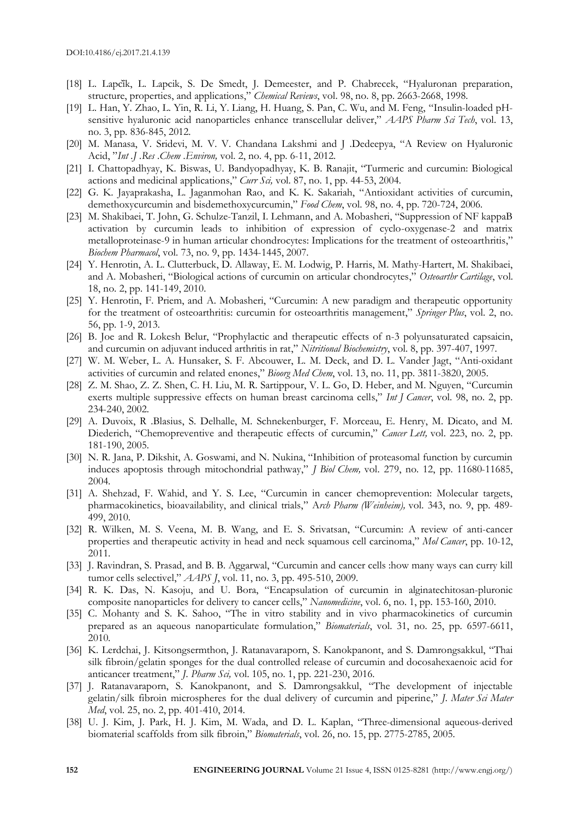- [18] L. Lapcik, L. Lapcik, S. De Smedt, J. Demeester, and P. Chabrecek, "Hyaluronan preparation, structure, properties, and applications," *Chemical Reviews*, vol. 98, no. 8, pp. 2663-2668, 1998.
- [19] L. Han, Y. Zhao, L. Yin, R. Li, Y. Liang, H. Huang, S. Pan, C. Wu, and M. Feng, "Insulin-loaded pHsensitive hyaluronic acid nanoparticles enhance transcellular deliver," *AAPS Pharm Sci Tech*, vol. 13, no. 3, pp. 836-845, 2012.
- [20] M. Manasa, V. Sridevi, M. V. V. Chandana Lakshmi and J .Dedeepya, "A Review on Hyaluronic Acid, "*Int .J .Res* .*Chem .Environ,* vol. 2, no. 4, pp. 6-11, 2012.
- [21] I. Chattopadhyay, K. Biswas, U. Bandyopadhyay, K. B. Ranajit, "Turmeric and curcumin: Biological actions and medicinal applications," *Curr Sci,* vol. 87, no. 1, pp. 44-53, 2004.
- [22] G. K. Jayaprakasha, L. Jaganmohan Rao, and K. K. Sakariah, "Antioxidant activities of curcumin, demethoxycurcumin and bisdemethoxycurcumin," *Food Chem*, vol. 98, no. 4, pp. 720-724, 2006.
- [23] M. Shakibaei, T. John, G. Schulze-Tanzil, I. Lehmann, and A. Mobasheri, "Suppression of NF kappaB activation by curcumin leads to inhibition of expression of cyclo-oxygenase-2 and matrix metalloproteinase-9 in human articular chondrocytes: Implications for the treatment of osteoarthritis," *Biochem Pharmacol*, vol. 73, no. 9, pp. 1434-1445, 2007.
- [24] Y. Henrotin, A. L. Clutterbuck, D. Allaway, E. M. Lodwig, P. Harris, M. Mathy-Hartert, M. Shakibaei, and A. Mobasheri, "Biological actions of curcumin on articular chondrocytes," *Osteoarthr Cartilage*, vol. 18, no. 2, pp. 141-149, 2010.
- [25] Y. Henrotin, F. Priem, and A. Mobasheri, "Curcumin: A new paradigm and therapeutic opportunity for the treatment of osteoarthritis: curcumin for osteoarthritis management," *Springer Plus*, vol. 2, no. 56, pp. 1-9, 2013.
- [26] B. Joe and R. Lokesh Belur, "Prophylactic and therapeutic effects of n-3 polyunsaturated capsaicin, and curcumin on adjuvant induced arthritis in rat," *Nitritional Biochemistry*, vol. 8, pp. 397-407, 1997.
- [27] W. M. Weber, L. A. Hunsaker, S. F. Abcouwer, L. M. Deck, and D. L. Vander Jagt, "Anti-oxidant activities of curcumin and related enones," *Bioorg Med Chem*, vol. 13, no. 11, pp. 3811-3820, 2005.
- [28] Z. M. Shao, Z. Z. Shen, C. H. Liu, M. R. Sartippour, V. L. Go, D. Heber, and M. Nguyen, "Curcumin exerts multiple suppressive effects on human breast carcinoma cells," *Int J Cancer*, vol. 98, no. 2, pp. 234-240, 2002.
- [29] A. Duvoix, R .Blasius, S. Delhalle, M. Schnekenburger, F. Morceau, E. Henry, M. Dicato, and M. Diederich, "Chemopreventive and therapeutic effects of curcumin," *Cancer Lett,* vol. 223, no. 2, pp. 181-190, 2005.
- [30] N. R. Jana, P. Dikshit, A. Goswami, and N. Nukina, "Inhibition of proteasomal function by curcumin induces apoptosis through mitochondrial pathway," *J Biol Chem,* vol. 279, no. 12, pp. 11680-11685, 2004.
- [31] A. Shehzad, F. Wahid, and Y. S. Lee, "Curcumin in cancer chemoprevention: Molecular targets, pharmacokinetics, bioavailability, and clinical trials," A*rch Pharm (Weinheim),* vol. 343, no. 9, pp. 489- 499, 2010.
- [32] R. Wilken, M. S. Veena, M. B. Wang, and E. S. Srivatsan, "Curcumin: A review of anti-cancer properties and therapeutic activity in head and neck squamous cell carcinoma," *Mol Cancer*, pp. 10-12, 2011.
- [33] J. Ravindran, S. Prasad, and B. B. Aggarwal, "Curcumin and cancer cells :how many ways can curry kill tumor cells selectivel," *AAPS J*, vol. 11, no. 3, pp. 495-510, 2009.
- [34] R. K. Das, N. Kasoju, and U. Bora, "Encapsulation of curcumin in alginatechitosan-pluronic composite nanoparticles for delivery to cancer cells," *Nanomedicine*, vol. 6, no. 1, pp. 153-160, 2010.
- [35] C. Mohanty and S. K. Sahoo, "The in vitro stability and in vivo pharmacokinetics of curcumin prepared as an aqueous nanoparticulate formulation," *Biomaterials*, vol. 31, no. 25, pp. 6597-6611, 2010.
- [36] K. Lerdchai, J. Kitsongsermthon, J. Ratanavaraporn, S. Kanokpanont, and S. Damrongsakkul, "Thai silk fibroin/gelatin sponges for the dual controlled release of curcumin and docosahexaenoic acid for anticancer treatment," *J. Pharm Sci,* vol. 105, no. 1, pp. 221-230, 2016.
- [37] J. Ratanavaraporn, S. Kanokpanont, and S. Damrongsakkul, "The development of injectable gelatin/silk fibroin microspheres for the dual delivery of curcumin and piperine," *J. Mater Sci Mater Med*, vol. 25, no. 2, pp. 401-410, 2014.
- [38] U. J. Kim, J. Park, H. J. Kim, M. Wada, and D. L. Kaplan, "Three-dimensional aqueous-derived biomaterial scaffolds from silk fibroin," *Biomaterials*, vol. 26, no. 15, pp. 2775-2785, 2005.